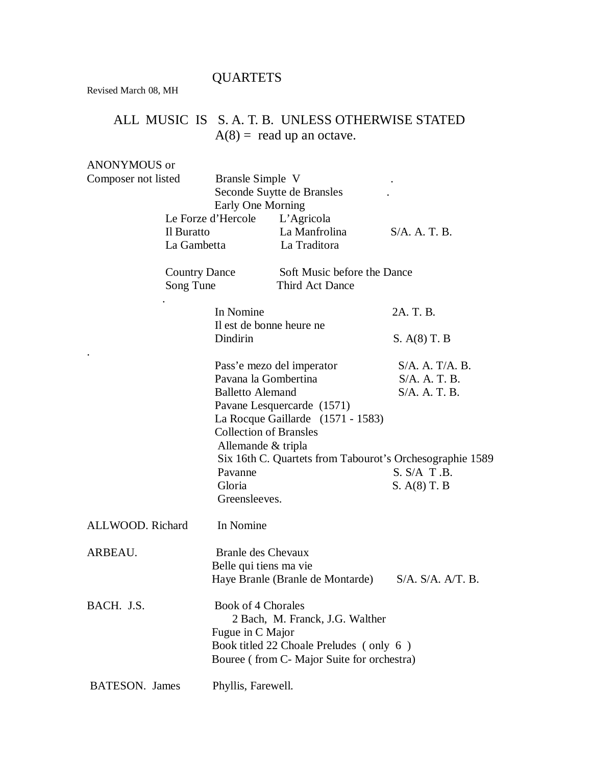## QUARTETS

Revised March 08, MH

## ALL MUSIC IS S. A. T. B. UNLESS OTHERWISE STATED  $A(8) =$  read up an octave.

ANONYMOUS or

| Composer not listed               | Bransle Simple V<br>Early One Morning         | Seconde Suytte de Bransles                                                                                                                              |                                                       |  |
|-----------------------------------|-----------------------------------------------|---------------------------------------------------------------------------------------------------------------------------------------------------------|-------------------------------------------------------|--|
|                                   | Le Forze d'Hercole L'Agricola                 |                                                                                                                                                         |                                                       |  |
|                                   | Il Buratto                                    | La Manfrolina                                                                                                                                           | $S/A$ , A. T. B.                                      |  |
|                                   | La Gambetta                                   | La Traditora                                                                                                                                            |                                                       |  |
| <b>Country Dance</b><br>Song Tune |                                               | Soft Music before the Dance<br>Third Act Dance                                                                                                          |                                                       |  |
|                                   | In Nomine                                     | Il est de bonne heure ne                                                                                                                                | 2A. T. B.                                             |  |
|                                   | Dindirin                                      |                                                                                                                                                         | S. A(8) T. B                                          |  |
|                                   | <b>Balletto Alemand</b><br>Allemande & tripla | Pass'e mezo del imperator<br>Pavana la Gombertina<br>Pavane Lesquercarde (1571)<br>La Rocque Gaillarde $(1571 - 1583)$<br><b>Collection of Bransles</b> | $S/A.$ A. T/A. B.<br>$S/A.$ A. T. B.<br>S/A. A. T. B. |  |
|                                   |                                               | Six 16th C. Quartets from Tabourot's Orchesographie 1589                                                                                                |                                                       |  |
|                                   | Pavanne                                       |                                                                                                                                                         | S. S/A T.B.                                           |  |
|                                   | Gloria<br>Greensleeves.                       |                                                                                                                                                         | $S. A(8)$ T. B                                        |  |
| ALLWOOD. Richard                  | In Nomine                                     |                                                                                                                                                         |                                                       |  |
| ARBEAU.                           | Branle des Chevaux<br>Belle qui tiens ma vie  | Haye Branle (Branle de Montarde)                                                                                                                        | S/A. S/A. A/T. B.                                     |  |
| BACH. J.S.                        | Book of 4 Chorales<br>Fugue in C Major        | 2 Bach, M. Franck, J.G. Walther<br>Book titled 22 Choale Preludes (only 6)<br>Bouree (from C- Major Suite for orchestra)                                |                                                       |  |
| <b>BATESON.</b> James             | Phyllis, Farewell.                            |                                                                                                                                                         |                                                       |  |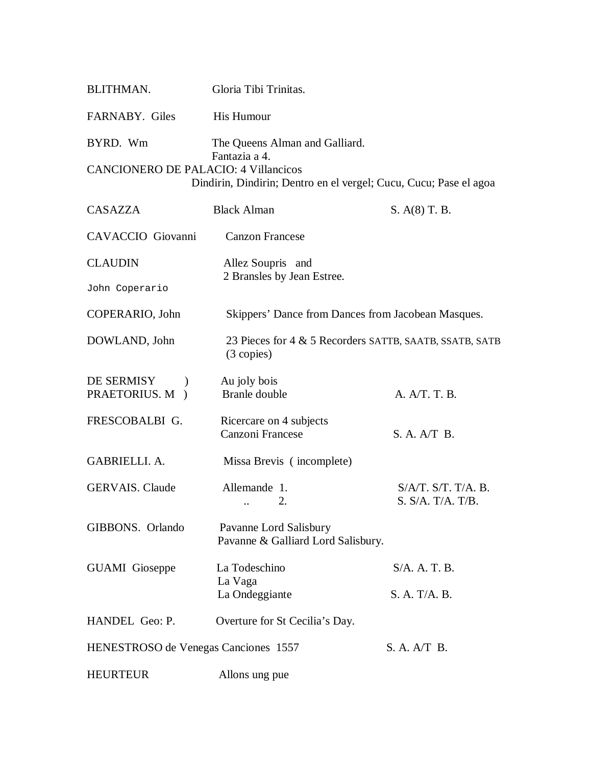| BLITHMAN.                                               | Gloria Tibi Trinitas.                                                                                                |                                                         |
|---------------------------------------------------------|----------------------------------------------------------------------------------------------------------------------|---------------------------------------------------------|
| FARNABY. Giles                                          | His Humour                                                                                                           |                                                         |
| BYRD. Wm<br><b>CANCIONERO DE PALACIO: 4 Villancicos</b> | The Queens Alman and Galliard.<br>Fantazia a 4.<br>Dindirin, Dindirin; Dentro en el vergel; Cucu, Cucu; Pase el agoa |                                                         |
| <b>CASAZZA</b>                                          | <b>Black Alman</b>                                                                                                   | S. A(8) T. B.                                           |
| CAVACCIO Giovanni                                       | <b>Canzon Francese</b>                                                                                               |                                                         |
| <b>CLAUDIN</b>                                          | Allez Soupris and                                                                                                    |                                                         |
| John Coperario                                          | 2 Bransles by Jean Estree.                                                                                           |                                                         |
| COPERARIO, John                                         | Skippers' Dance from Dances from Jacobean Masques.                                                                   |                                                         |
| DOWLAND, John                                           | $(3$ copies)                                                                                                         | 23 Pieces for 4 & 5 Recorders SATTB, SAATB, SSATB, SATB |
| DE SERMISY<br>PRAETORIUS. M )                           | Au joly bois<br><b>Branle</b> double                                                                                 | A. A/T. T. B.                                           |
| FRESCOBALBI G.                                          | Ricercare on 4 subjects<br>Canzoni Francese                                                                          | S. A. A/T B.                                            |
| <b>GABRIELLI, A.</b>                                    | Missa Brevis (incomplete)                                                                                            |                                                         |
| <b>GERVAIS.</b> Claude                                  | Allemande 1.<br>2.                                                                                                   | $S/A/T$ . $S/T$ . $T/A$ . B.<br>S. S/A. T/A. T/B.       |
| GIBBONS. Orlando                                        | Pavanne Lord Salisbury<br>Pavanne & Galliard Lord Salisbury.                                                         |                                                         |
| <b>GUAMI</b> Gioseppe                                   | La Todeschino                                                                                                        | S/A. A. T. B.                                           |
|                                                         | La Vaga<br>La Ondeggiante                                                                                            | S. A. T/A. B.                                           |
| HANDEL Geo: P.                                          | Overture for St Cecilia's Day.                                                                                       |                                                         |
| HENESTROSO de Venegas Canciones 1557                    |                                                                                                                      | S. A. A/T B.                                            |
| <b>HEURTEUR</b>                                         | Allons ung pue                                                                                                       |                                                         |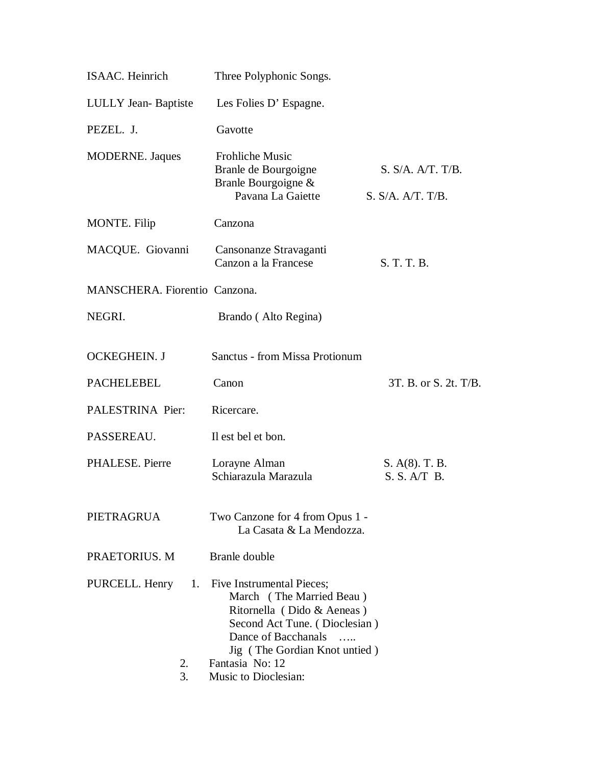| <b>ISAAC.</b> Heinrich           | Three Polyphonic Songs.                                                                                                                                                                                                             |                                        |
|----------------------------------|-------------------------------------------------------------------------------------------------------------------------------------------------------------------------------------------------------------------------------------|----------------------------------------|
| <b>LULLY</b> Jean-Baptiste       | Les Folies D' Espagne.                                                                                                                                                                                                              |                                        |
| PEZEL. J.                        | Gavotte                                                                                                                                                                                                                             |                                        |
| <b>MODERNE.</b> Jaques           | <b>Frohliche Music</b><br>Branle de Bourgoigne<br>Branle Bourgoigne &<br>Pavana La Gaiette                                                                                                                                          | S. S/A. A/T. T/B.<br>S. S/A. A/T. T/B. |
| <b>MONTE.</b> Filip              | Canzona                                                                                                                                                                                                                             |                                        |
| MACQUE. Giovanni                 | Cansonanze Stravaganti<br>Canzon a la Francese                                                                                                                                                                                      | S. T. T. B.                            |
| MANSCHERA. Fiorentio Canzona.    |                                                                                                                                                                                                                                     |                                        |
| NEGRI.                           | Brando (Alto Regina)                                                                                                                                                                                                                |                                        |
| <b>OCKEGHEIN. J</b>              | Sanctus - from Missa Protionum                                                                                                                                                                                                      |                                        |
| <b>PACHELEBEL</b>                | Canon                                                                                                                                                                                                                               | 3T. B. or S. 2t. T/B.                  |
| PALESTRINA Pier:                 | Ricercare.                                                                                                                                                                                                                          |                                        |
| PASSEREAU.                       | Il est bel et bon.                                                                                                                                                                                                                  |                                        |
| PHALESE. Pierre                  | Lorayne Alman<br>Schiarazula Marazula                                                                                                                                                                                               | S. A(8). T. B.<br>S. S. A/T B.         |
| PIETRAGRUA                       | Two Canzone for 4 from Opus 1 -<br>La Casata & La Mendozza.                                                                                                                                                                         |                                        |
| PRAETORIUS. M                    | Branle double                                                                                                                                                                                                                       |                                        |
| PURCELL. Henry<br>1.<br>2.<br>3. | Five Instrumental Pieces;<br>March (The Married Beau)<br>Ritornella (Dido & Aeneas)<br>Second Act Tune. (Dioclesian)<br>Dance of Bacchanals<br>$\ldots$<br>Jig (The Gordian Knot untied)<br>Fantasia No: 12<br>Music to Dioclesian: |                                        |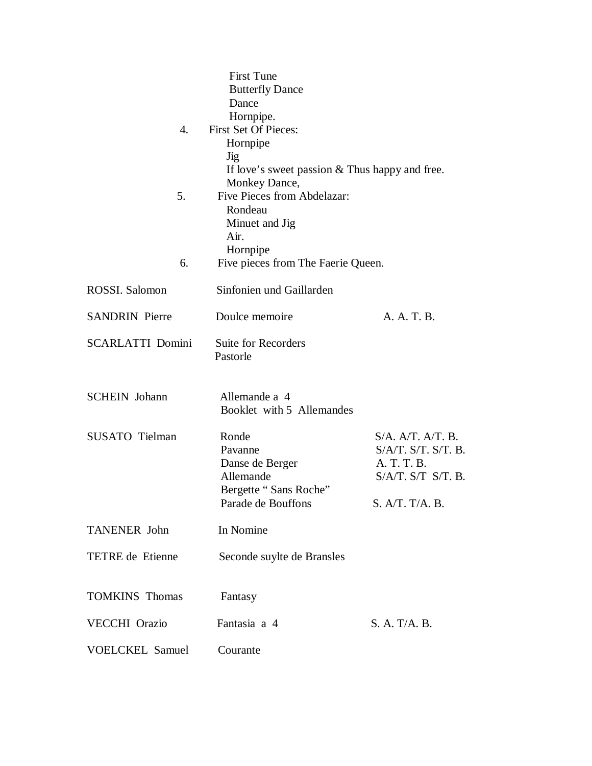|                         | <b>First Tune</b>                                |                     |  |
|-------------------------|--------------------------------------------------|---------------------|--|
|                         | <b>Butterfly Dance</b>                           |                     |  |
|                         | Dance                                            |                     |  |
|                         | Hornpipe.                                        |                     |  |
| 4.                      | First Set Of Pieces:                             |                     |  |
|                         | Hornpipe                                         |                     |  |
|                         | Jig                                              |                     |  |
|                         | If love's sweet passion $&$ Thus happy and free. |                     |  |
|                         | Monkey Dance,                                    |                     |  |
| 5.                      | Five Pieces from Abdelazar:                      |                     |  |
|                         | Rondeau                                          |                     |  |
|                         | Minuet and Jig<br>Air.                           |                     |  |
|                         |                                                  |                     |  |
|                         | Hornpipe                                         |                     |  |
| 6.                      | Five pieces from The Faerie Queen.               |                     |  |
| ROSSI. Salomon          | Sinfonien und Gaillarden                         |                     |  |
| <b>SANDRIN</b> Pierre   | Doulce memoire                                   | A. A. T. B.         |  |
| <b>SCARLATTI Domini</b> | Suite for Recorders<br>Pastorle                  |                     |  |
| <b>SCHEIN</b> Johann    | Allemande a 4<br>Booklet with 5 Allemandes       |                     |  |
| <b>SUSATO</b> Tielman   | Ronde                                            | S/A. A/T. A/T. B.   |  |
|                         | Pavanne                                          | S/A/T. S/T. S/T. B. |  |
|                         | Danse de Berger                                  | A. T. T. B.         |  |
|                         | Allemande                                        | S/A/T. S/T. S/T. B. |  |
|                         | Bergette "Sans Roche"                            |                     |  |
|                         | Parade de Bouffons                               | S. A/T. T/A. B.     |  |
| <b>TANENER John</b>     | In Nomine                                        |                     |  |
|                         |                                                  |                     |  |
| TETRE de Etienne        | Seconde suylte de Bransles                       |                     |  |
| <b>TOMKINS Thomas</b>   | Fantasy                                          |                     |  |
| VECCHI Orazio           | Fantasia a 4                                     | S. A. T/A. B.       |  |
| <b>VOELCKEL Samuel</b>  | Courante                                         |                     |  |